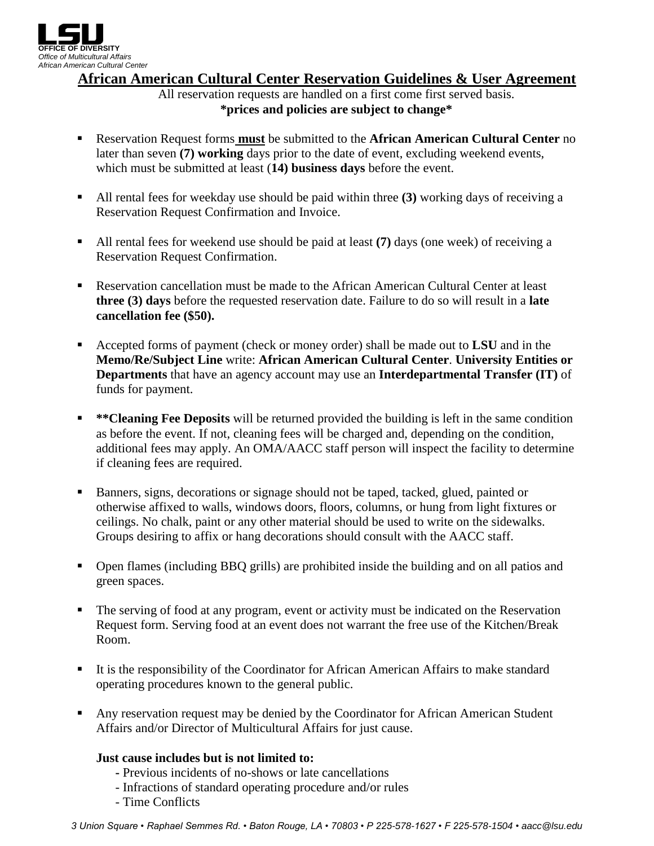

**African American Cultural Center Reservation Guidelines & User Agreement**

All reservation requests are handled on a first come first served basis. **\*prices and policies are subject to change\***

- Reservation Request forms **must** be submitted to the **African American Cultural Center** no later than seven **(7) working** days prior to the date of event, excluding weekend events, which must be submitted at least (**14) business days** before the event.
- All rental fees for weekday use should be paid within three **(3)** working days of receiving a Reservation Request Confirmation and Invoice.
- All rental fees for weekend use should be paid at least **(7)** days (one week) of receiving a Reservation Request Confirmation.
- Reservation cancellation must be made to the African American Cultural Center at least **three (3) days** before the requested reservation date. Failure to do so will result in a **late cancellation fee (\$50).**
- Accepted forms of payment (check or money order) shall be made out to **LSU** and in the **Memo/Re/Subject Line** write: **African American Cultural Center**. **University Entities or Departments** that have an agency account may use an **Interdepartmental Transfer (IT)** of funds for payment.
- **\*\*Cleaning Fee Deposits** will be returned provided the building is left in the same condition as before the event. If not, cleaning fees will be charged and, depending on the condition, additional fees may apply. An OMA/AACC staff person will inspect the facility to determine if cleaning fees are required.
- Banners, signs, decorations or signage should not be taped, tacked, glued, painted or otherwise affixed to walls, windows doors, floors, columns, or hung from light fixtures or ceilings. No chalk, paint or any other material should be used to write on the sidewalks. Groups desiring to affix or hang decorations should consult with the AACC staff.
- Open flames (including BBQ grills) are prohibited inside the building and on all patios and green spaces.
- The serving of food at any program, event or activity must be indicated on the Reservation Request form. Serving food at an event does not warrant the free use of the Kitchen/Break Room.
- It is the responsibility of the Coordinator for African American Affairs to make standard operating procedures known to the general public.
- **Any reservation request may be denied by the Coordinator for African American Student** Affairs and/or Director of Multicultural Affairs for just cause.

# **Just cause includes but is not limited to:**

- **-** Previous incidents of no-shows or late cancellations
- Infractions of standard operating procedure and/or rules
- Time Conflicts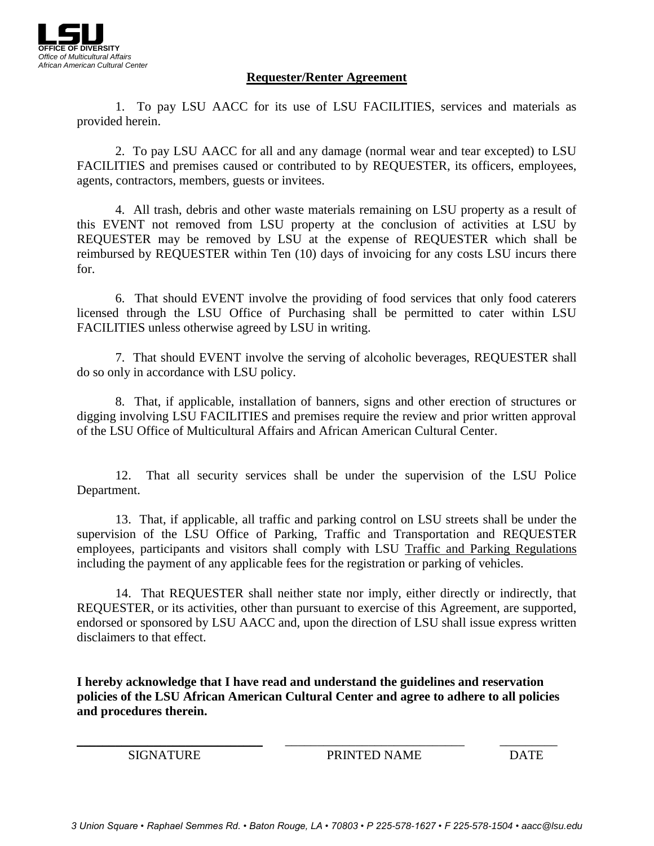

### **Requester/Renter Agreement**

1. To pay LSU AACC for its use of LSU FACILITIES, services and materials as provided herein.

 2. To pay LSU AACC for all and any damage (normal wear and tear excepted) to LSU FACILITIES and premises caused or contributed to by REQUESTER, its officers, employees, agents, contractors, members, guests or invitees.

4. All trash, debris and other waste materials remaining on LSU property as a result of this EVENT not removed from LSU property at the conclusion of activities at LSU by REQUESTER may be removed by LSU at the expense of REQUESTER which shall be reimbursed by REQUESTER within Ten (10) days of invoicing for any costs LSU incurs there for.

6. That should EVENT involve the providing of food services that only food caterers licensed through the LSU Office of Purchasing shall be permitted to cater within LSU FACILITIES unless otherwise agreed by LSU in writing.

7. That should EVENT involve the serving of alcoholic beverages, REQUESTER shall do so only in accordance with LSU policy.

8. That, if applicable, installation of banners, signs and other erection of structures or digging involving LSU FACILITIES and premises require the review and prior written approval of the LSU Office of Multicultural Affairs and African American Cultural Center.

12. That all security services shall be under the supervision of the LSU Police Department.

13. That, if applicable, all traffic and parking control on LSU streets shall be under the supervision of the LSU Office of Parking, Traffic and Transportation and REQUESTER employees, participants and visitors shall comply with LSU Traffic and Parking Regulations including the payment of any applicable fees for the registration or parking of vehicles.

14. That REQUESTER shall neither state nor imply, either directly or indirectly, that REQUESTER, or its activities, other than pursuant to exercise of this Agreement, are supported, endorsed or sponsored by LSU AACC and, upon the direction of LSU shall issue express written disclaimers to that effect.

**I hereby acknowledge that I have read and understand the guidelines and reservation policies of the LSU African American Cultural Center and agree to adhere to all policies and procedures therein.**

\_\_\_\_\_\_\_\_\_\_\_\_\_\_\_\_\_\_\_\_\_\_\_\_\_\_\_\_\_ \_\_\_\_\_\_\_\_\_\_\_\_\_\_\_\_\_\_\_\_\_\_\_\_\_\_\_\_ \_\_\_\_\_\_\_\_\_

SIGNATURE PRINTED NAME DATE